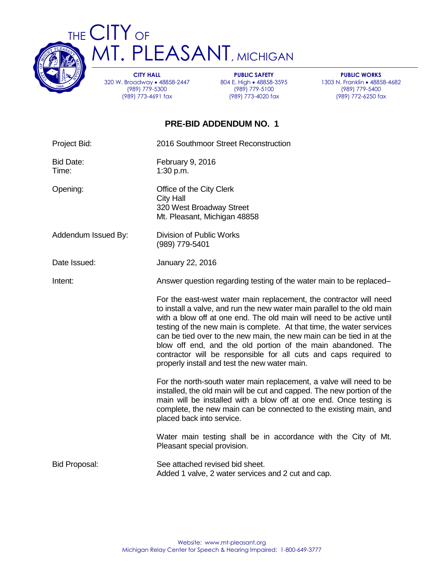

THE CITY OF MT. PLEASANT, MICHIGAN

> **CITY HALL** 320 W. Broadway 48858-2447 (989) 779-5300 (989) 773-4691 fax

**PUBLIC SAFETY** 804 E. High • 48858-3595 (989) 779-5100 (989) 773-4020 fax

**PUBLIC WORKS** 1303 N. Franklin • 48858-4682 (989) 779-5400 (989) 772-6250 fax

## **PRE-BID ADDENDUM NO. 1**

| Project Bid:              | 2016 Southmoor Street Reconstruction                                                                                                                                                                                                                                                                                                                                                                                                                                                                                                                         |  |  |  |
|---------------------------|--------------------------------------------------------------------------------------------------------------------------------------------------------------------------------------------------------------------------------------------------------------------------------------------------------------------------------------------------------------------------------------------------------------------------------------------------------------------------------------------------------------------------------------------------------------|--|--|--|
| <b>Bid Date:</b><br>Time: | February 9, 2016<br>1:30 p.m.                                                                                                                                                                                                                                                                                                                                                                                                                                                                                                                                |  |  |  |
| Opening:                  | Office of the City Clerk<br><b>City Hall</b><br>320 West Broadway Street<br>Mt. Pleasant, Michigan 48858                                                                                                                                                                                                                                                                                                                                                                                                                                                     |  |  |  |
| Addendum Issued By:       | Division of Public Works<br>(989) 779-5401                                                                                                                                                                                                                                                                                                                                                                                                                                                                                                                   |  |  |  |
| Date Issued:              | January 22, 2016                                                                                                                                                                                                                                                                                                                                                                                                                                                                                                                                             |  |  |  |
| Intent:                   | Answer question regarding testing of the water main to be replaced-                                                                                                                                                                                                                                                                                                                                                                                                                                                                                          |  |  |  |
|                           | For the east-west water main replacement, the contractor will need<br>to install a valve, and run the new water main parallel to the old main<br>with a blow off at one end. The old main will need to be active until<br>testing of the new main is complete. At that time, the water services<br>can be tied over to the new main, the new main can be tied in at the<br>blow off end, and the old portion of the main abandoned. The<br>contractor will be responsible for all cuts and caps required to<br>properly install and test the new water main. |  |  |  |
|                           | For the north-south water main replacement, a valve will need to be<br>installed, the old main will be cut and capped. The new portion of the<br>main will be installed with a blow off at one end. Once testing is<br>complete, the new main can be connected to the existing main, and<br>placed back into service.                                                                                                                                                                                                                                        |  |  |  |
|                           | Water main testing shall be in accordance with the City of Mt.<br>Pleasant special provision.                                                                                                                                                                                                                                                                                                                                                                                                                                                                |  |  |  |
| <b>Bid Proposal:</b>      | See attached revised bid sheet.<br>Added 1 valve, 2 water services and 2 cut and cap.                                                                                                                                                                                                                                                                                                                                                                                                                                                                        |  |  |  |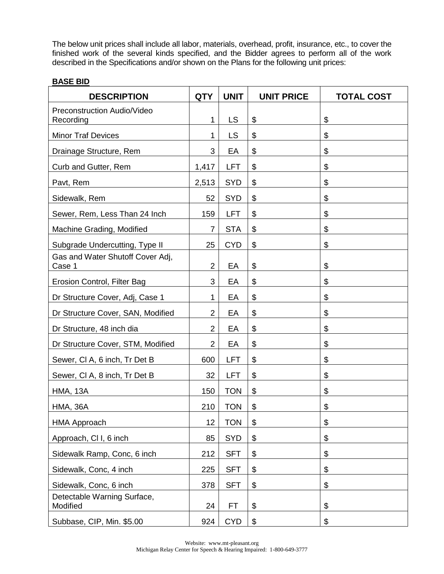The below unit prices shall include all labor, materials, overhead, profit, insurance, etc., to cover the finished work of the several kinds specified, and the Bidder agrees to perform all of the work described in the Specifications and/or shown on the Plans for the following unit prices:

## **BASE BID**

| <b>DESCRIPTION</b>                         | <b>QTY</b>     | <b>UNIT</b> | <b>UNIT PRICE</b> | <b>TOTAL COST</b>          |
|--------------------------------------------|----------------|-------------|-------------------|----------------------------|
| Preconstruction Audio/Video<br>Recording   | 1              | <b>LS</b>   | \$                | $\boldsymbol{\theta}$      |
| <b>Minor Traf Devices</b>                  | 1              | <b>LS</b>   | \$                | \$                         |
| Drainage Structure, Rem                    | 3              | EA          | \$                | \$                         |
| Curb and Gutter, Rem                       | 1,417          | <b>LFT</b>  | \$                | $\boldsymbol{\mathsf{S}}$  |
| Pavt, Rem                                  | 2,513          | <b>SYD</b>  | \$                | \$                         |
| Sidewalk, Rem                              | 52             | <b>SYD</b>  | \$                | \$                         |
| Sewer, Rem, Less Than 24 Inch              | 159            | <b>LFT</b>  | \$                | \$                         |
| Machine Grading, Modified                  | $\overline{7}$ | <b>STA</b>  | \$                | \$                         |
| Subgrade Undercutting, Type II             | 25             | <b>CYD</b>  | \$                | \$                         |
| Gas and Water Shutoff Cover Adj,<br>Case 1 | $\overline{2}$ | EA          | \$                | \$                         |
| Erosion Control, Filter Bag                | 3              | EA          | \$                | \$                         |
| Dr Structure Cover, Adj, Case 1            | 1              | EA          | \$                | $\boldsymbol{\mathsf{S}}$  |
| Dr Structure Cover, SAN, Modified          | $\overline{2}$ | EA          | \$                | $\boldsymbol{\theta}$      |
| Dr Structure, 48 inch dia                  | $\overline{2}$ | EA          | \$                | \$                         |
| Dr Structure Cover, STM, Modified          | $\overline{2}$ | EA          | \$                | \$                         |
| Sewer, CI A, 6 inch, Tr Det B              | 600            | <b>LFT</b>  | \$                | \$                         |
| Sewer, CI A, 8 inch, Tr Det B              | 32             | <b>LFT</b>  | \$                | $\boldsymbol{\mathsf{S}}$  |
| <b>HMA, 13A</b>                            | 150            | <b>TON</b>  | \$                | \$                         |
| <b>HMA, 36A</b>                            | 210            | <b>TON</b>  | \$                | \$                         |
| <b>HMA Approach</b>                        | 12             | <b>TON</b>  | \$                | \$                         |
| Approach, CI I, 6 inch                     | 85             | <b>SYD</b>  | \$                | $\boldsymbol{\mathsf{\$}}$ |
| Sidewalk Ramp, Conc, 6 inch                | 212            | <b>SFT</b>  | \$                | $\boldsymbol{\theta}$      |
| Sidewalk, Conc, 4 inch                     | 225            | <b>SFT</b>  | \$                | \$                         |
| Sidewalk, Conc, 6 inch                     | 378            | <b>SFT</b>  | \$                | \$                         |
| Detectable Warning Surface,<br>Modified    | 24             | FT          | \$                | \$                         |
| Subbase, CIP, Min. \$5.00                  | 924            | <b>CYD</b>  | \$                | \$                         |